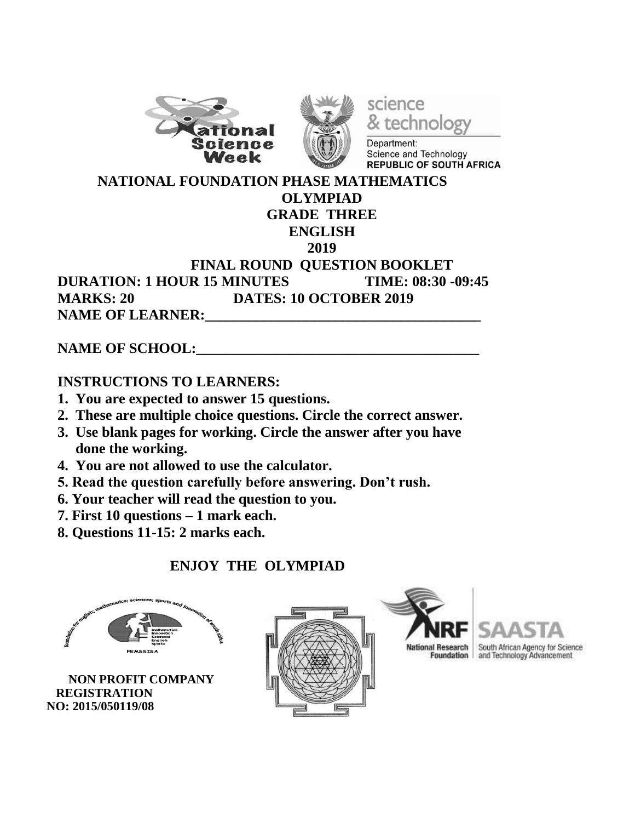



science & technology Department:

Science and Technology REPUBLIC OF SOUTH AFRICA

#### **NATIONAL FOUNDATION PHASE MATHEMATICS OLYMPIAD**

# **GRADE THREE**

#### **ENGLISH**

#### **2019**

### **FINAL ROUND QUESTION BOOKLET DURATION: 1 HOUR 15 MINUTES TIME: 08:30 -09:45 MARKS: 20 DATES: 10 OCTOBER 2019 NAME OF LEARNER:**

# **NAME OF SCHOOL:**

# **INSTRUCTIONS TO LEARNERS:**

- **1. You are expected to answer 15 questions.**
- **2. These are multiple choice questions. Circle the correct answer.**
- **3. Use blank pages for working. Circle the answer after you have done the working.**
- **4. You are not allowed to use the calculator.**
- **5. Read the question carefully before answering. Don't rush.**
- **6. Your teacher will read the question to you.**
- **7. First 10 questions – 1 mark each.**
- **8. Questions 11-15: 2 marks each.**

# **ENJOY THE OLYMPIAD**



 **NON PROFIT COMPANY REGISTRATION NO: 2015/050119/08**





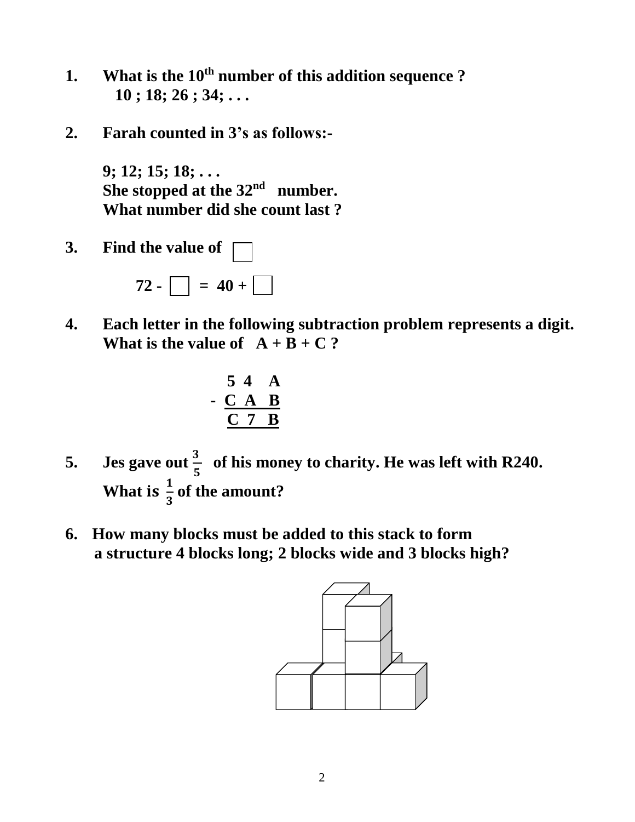- **1. What is the 10th number of this addition sequence ? 10 ; 18; 26 ; 34; . . .**
- **2. Farah counted in 3's as follows:-**

**9; 12; 15; 18; . . .** She stopped at the 32<sup>nd</sup> number. **What number did she count last ?**

**3. Find the value of** 

 $72 - \Box = 40 + \Box$ 

**4. Each letter in the following subtraction problem represents a digit. What is the value of**  $A + B + C$ **?** 

$$
\begin{array}{cccc}\n & 5 & 4 & A \\
- & C & A & B \\
\hline\nC & 7 & B\n\end{array}
$$

- **5. Jes** gave out  $\frac{3}{5}$  of his money to charity. He was left with R240. What is  $\frac{1}{3}$  of the amount?
- **6. How many blocks must be added to this stack to form a structure 4 blocks long; 2 blocks wide and 3 blocks high?**

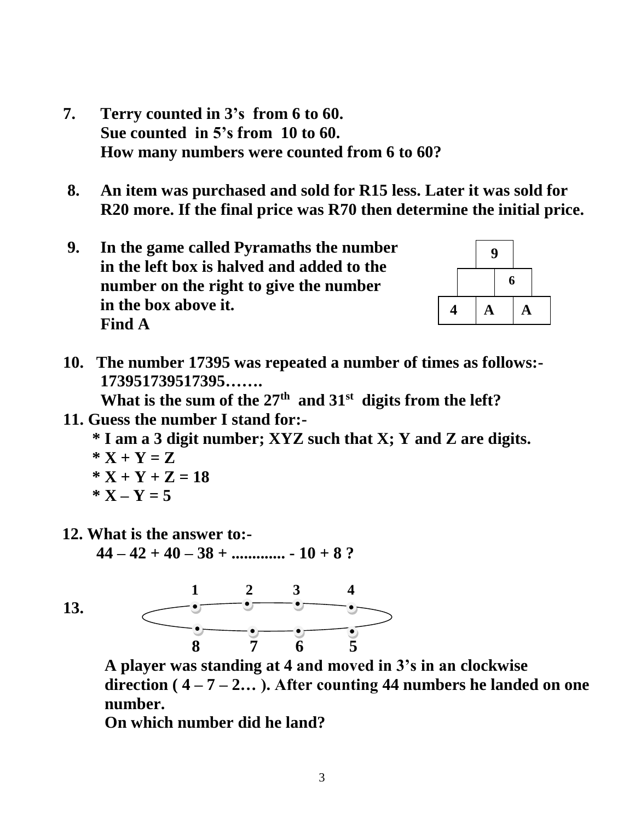- **7. Terry counted in 3's from 6 to 60. Sue counted in 5's from 10 to 60. How many numbers were counted from 6 to 60?**
- **8. An item was purchased and sold for R15 less. Later it was sold for R20 more. If the final price was R70 then determine the initial price.**
- **9. In the game called Pyramaths the number in the left box is halved and added to the number on the right to give the number in the box above it. Find A**



 **10. The number 17395 was repeated a number of times as follows:- 173951739517395…….**

 **What is the sum of the 27th and 31st digits from the left? 11. Guess the number I stand for:-**

 **\* I am a 3 digit number; XYZ such that X; Y and Z are digits.**  $*$ **X** + **Y** = **Z**  $* X + Y + Z = 18$  $*$  **X** – **Y** = 5

**12. What is the answer to:-**

**44 – 42 + 40 – 38 + ............. - 10 + 8 ?** 

 **13.** 



 **A player was standing at 4 and moved in 3's in an clockwise direction** ( $4-7-2...$ ). After counting 44 numbers he landed on one  **number.**

 **On which number did he land?**